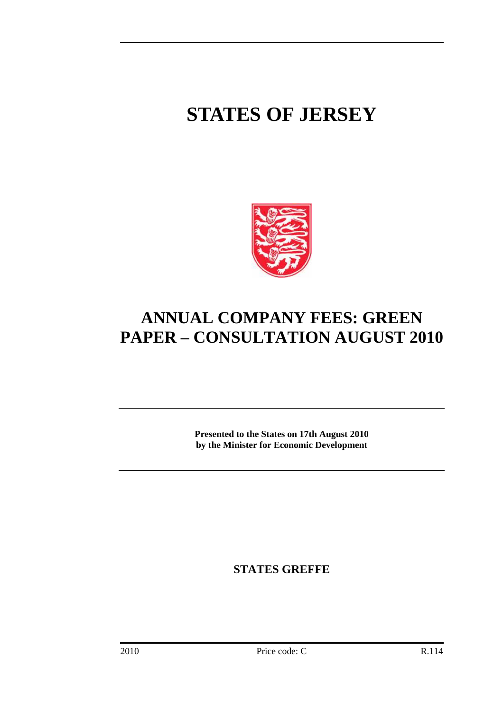## **STATES OF JERSEY**



## **ANNUAL COMPANY FEES: GREEN PAPER – CONSULTATION AUGUST 2010**

**Presented to the States on 17th August 2010 by the Minister for Economic Development** 

**STATES GREFFE**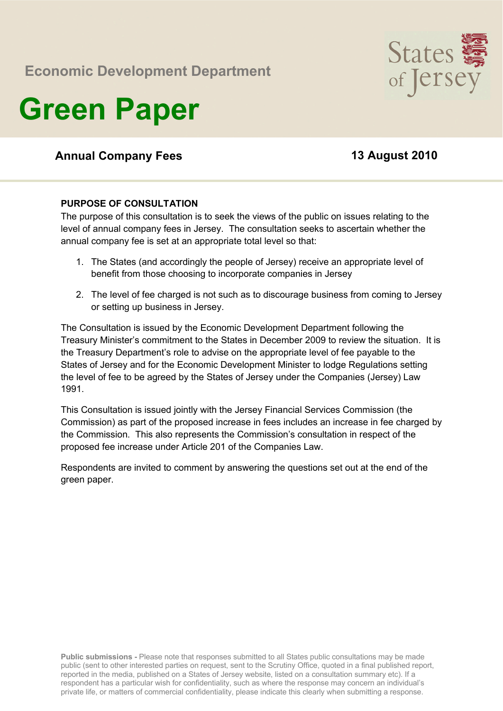## **Economic Development Department**



# **Green Paper**

### **Annual Company Fees 13 August 2010**

#### **PURPOSE OF CONSULTATION**

The purpose of this consultation is to seek the views of the public on issues relating to the level of annual company fees in Jersey. The consultation seeks to ascertain whether the annual company fee is set at an appropriate total level so that:

- 1. The States (and accordingly the people of Jersey) receive an appropriate level of benefit from those choosing to incorporate companies in Jersey
- 2. The level of fee charged is not such as to discourage business from coming to Jersey or setting up business in Jersey.

The Consultation is issued by the Economic Development Department following the Treasury Minister's commitment to the States in December 2009 to review the situation. It is the Treasury Department's role to advise on the appropriate level of fee payable to the States of Jersey and for the Economic Development Minister to lodge Regulations setting the level of fee to be agreed by the States of Jersey under the Companies (Jersey) Law 1991.

This Consultation is issued jointly with the Jersey Financial Services Commission (the Commission) as part of the proposed increase in fees includes an increase in fee charged by the Commission. This also represents the Commission's consultation in respect of the proposed fee increase under Article 201 of the Companies Law.

Respondents are invited to comment by answering the questions set out at the end of the green paper.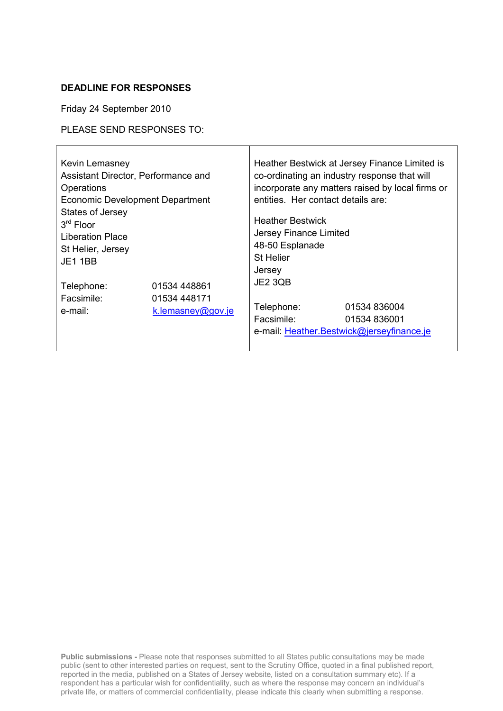#### **DEADLINE FOR RESPONSES**

Friday 24 September 2010

#### PLEASE SEND RESPONSES TO:

| Kevin Lemasney<br>Assistant Director, Performance and<br>Operations<br>Economic Development Department<br>States of Jersey<br>$3rd$ Floor<br>Liberation Place<br>St Helier, Jersey<br>JE11BB |  | Heather Bestwick at Jersey Finance Limited is<br>co-ordinating an industry response that will<br>incorporate any matters raised by local firms or<br>entities. Her contact details are:<br><b>Heather Bestwick</b><br>Jersey Finance Limited<br>48-50 Esplanade<br><b>St Helier</b> |  |                       |                                   |                          |                                                                           |
|----------------------------------------------------------------------------------------------------------------------------------------------------------------------------------------------|--|-------------------------------------------------------------------------------------------------------------------------------------------------------------------------------------------------------------------------------------------------------------------------------------|--|-----------------------|-----------------------------------|--------------------------|---------------------------------------------------------------------------|
|                                                                                                                                                                                              |  |                                                                                                                                                                                                                                                                                     |  | Jersey                |                                   |                          |                                                                           |
|                                                                                                                                                                                              |  |                                                                                                                                                                                                                                                                                     |  | Telephone:            | 01534 448861                      | JE2 3QB                  |                                                                           |
|                                                                                                                                                                                              |  |                                                                                                                                                                                                                                                                                     |  | Facsimile:<br>e-mail: | 01534 448171<br>k.lemasney@gov.je | Telephone:<br>Facsimile: | 01534 836004<br>01534 836001<br>e-mail: Heather.Bestwick@jerseyfinance.je |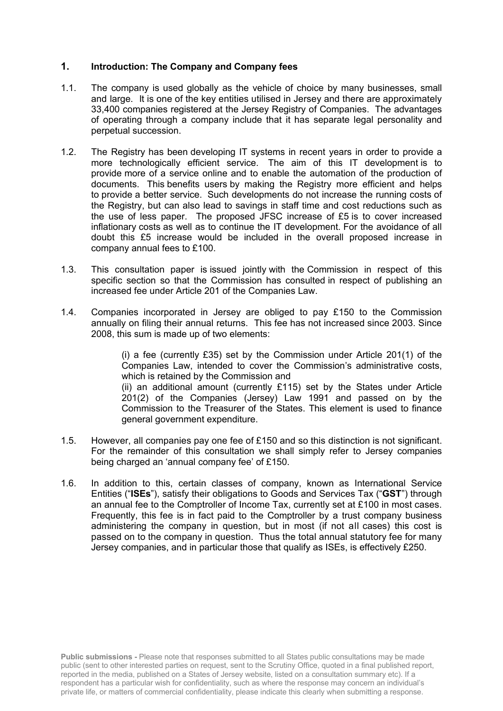#### **1. Introduction: The Company and Company fees**

- 1.1. The company is used globally as the vehicle of choice by many businesses, small and large. It is one of the key entities utilised in Jersey and there are approximately 33,400 companies registered at the Jersey Registry of Companies. The advantages of operating through a company include that it has separate legal personality and perpetual succession.
- 1.2. The Registry has been developing IT systems in recent years in order to provide a more technologically efficient service. The aim of this IT development is to provide more of a service online and to enable the automation of the production of documents. This benefits users by making the Registry more efficient and helps to provide a better service. Such developments do not increase the running costs of the Registry, but can also lead to savings in staff time and cost reductions such as the use of less paper. The proposed JFSC increase of £5 is to cover increased inflationary costs as well as to continue the IT development. For the avoidance of all doubt this £5 increase would be included in the overall proposed increase in company annual fees to £100.
- 1.3. This consultation paper is issued jointly with the Commission in respect of this specific section so that the Commission has consulted in respect of publishing an increased fee under Article 201 of the Companies Law.
- 1.4. Companies incorporated in Jersey are obliged to pay £150 to the Commission annually on filing their annual returns. This fee has not increased since 2003. Since 2008, this sum is made up of two elements:

(i) a fee (currently £35) set by the Commission under Article 201(1) of the Companies Law, intended to cover the Commission's administrative costs, which is retained by the Commission and (ii) an additional amount (currently £115) set by the States under Article 201(2) of the Companies (Jersey) Law 1991 and passed on by the Commission to the Treasurer of the States. This element is used to finance general government expenditure.

- 1.5. However, all companies pay one fee of £150 and so this distinction is not significant. For the remainder of this consultation we shall simply refer to Jersey companies being charged an 'annual company fee' of £150.
- 1.6. In addition to this, certain classes of company, known as International Service Entities ("**ISEs**"), satisfy their obligations to Goods and Services Tax ("**GST**") through an annual fee to the Comptroller of Income Tax, currently set at £100 in most cases. Frequently, this fee is in fact paid to the Comptroller by a trust company business administering the company in question, but in most (if not all cases) this cost is passed on to the company in question. Thus the total annual statutory fee for many Jersey companies, and in particular those that qualify as ISEs, is effectively £250.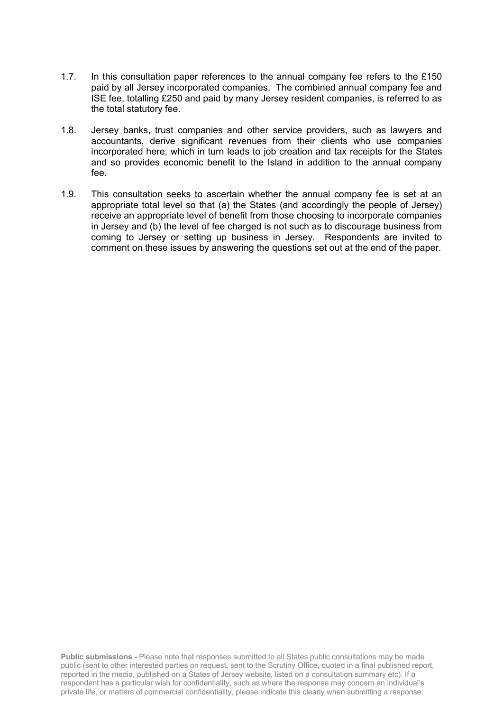- 1.7. In this consultation paper references to the annual company fee refers to the £150 paid by all Jersey incorporated companies. The combined annual company fee and ISE fee, totalling £250 and paid by many Jersey resident companies, is referred to as the total statutory fee.
- 1.8. Jersey banks, trust companies and other service providers, such as lawyers and accountants, derive significant revenues from their clients who use companies incorporated here, which in turn leads to job creation and tax receipts for the States and so provides economic benefit to the Island in addition to the annual company fee.
- 1.9. This consultation seeks to ascertain whether the annual company fee is set at an appropriate total level so that (a) the States (and accordingly the people of Jersey) receive an appropriate level of benefit from those choosing to incorporate companies in Jersey and (b) the level of fee charged is not such as to discourage business from coming to Jersey or setting up business in Jersey. Respondents are invited to comment on these issues by answering the questions set out at the end of the paper.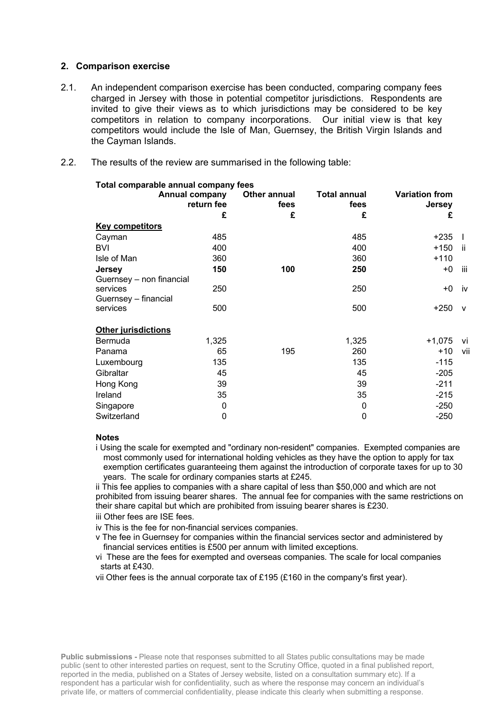#### **2. Comparison exercise**

- 2.1. An independent comparison exercise has been conducted, comparing company fees charged in Jersey with those in potential competitor jurisdictions. Respondents are invited to give their views as to which jurisdictions may be considered to be key competitors in relation to company incorporations. Our initial view is that key competitors would include the Isle of Man, Guernsey, the British Virgin Islands and the Cayman Islands.
- 2.2. The results of the review are summarised in the following table:

| Total comparable annual company fees |                       |              |                     |                       |              |  |
|--------------------------------------|-----------------------|--------------|---------------------|-----------------------|--------------|--|
|                                      | <b>Annual company</b> | Other annual | <b>Total annual</b> | <b>Variation from</b> |              |  |
|                                      | return fee            | fees         | fees                | <b>Jersey</b>         |              |  |
|                                      | £                     | £            | £                   | £                     |              |  |
| <b>Key competitors</b>               |                       |              |                     |                       |              |  |
| Cayman                               | 485                   |              | 485                 | $+235$                |              |  |
| <b>BVI</b>                           | 400                   |              | 400                 | $+150$                | -ii          |  |
| Isle of Man                          | 360                   |              | 360                 | $+110$                |              |  |
| <b>Jersey</b>                        | 150                   | 100          | 250                 | $+0$                  | -iii         |  |
| Guernsey - non financial             |                       |              |                     |                       |              |  |
| services                             | 250                   |              | 250                 | $+0$                  | iv.          |  |
| Guernsey - financial                 |                       |              |                     |                       |              |  |
| services                             | 500                   |              | 500                 | $+250$                | $\mathsf{v}$ |  |
| <b>Other jurisdictions</b>           |                       |              |                     |                       |              |  |
| <b>Bermuda</b>                       | 1,325                 |              | 1,325               | $+1,075$              | vi           |  |
| Panama                               | 65                    | 195          | 260                 | $+10$                 | vii          |  |
|                                      | 135                   |              | 135                 | $-115$                |              |  |
| Luxembourg                           |                       |              |                     |                       |              |  |
| Gibraltar                            | 45                    |              | 45                  | $-205$                |              |  |
| Hong Kong                            | 39                    |              | 39                  | $-211$                |              |  |
| Ireland                              | 35                    |              | 35                  | $-215$                |              |  |
| Singapore                            | 0                     |              | 0                   | $-250$                |              |  |
| Switzerland                          | 0                     |              | 0                   | $-250$                |              |  |
|                                      |                       |              |                     |                       |              |  |

#### **Notes**

i Using the scale for exempted and "ordinary non-resident" companies. Exempted companies are most commonly used for international holding vehicles as they have the option to apply for tax exemption certificates guaranteeing them against the introduction of corporate taxes for up to 30 years. The scale for ordinary companies starts at £245.

ii This fee applies to companies with a share capital of less than \$50,000 and which are not prohibited from issuing bearer shares. The annual fee for companies with the same restrictions on their share capital but which are prohibited from issuing bearer shares is £230. iii Other fees are ISE fees.

iv This is the fee for non-financial services companies.

v The fee in Guernsey for companies within the financial services sector and administered by financial services entities is £500 per annum with limited exceptions.

vi These are the fees for exempted and overseas companies. The scale for local companies starts at £430.

vii Other fees is the annual corporate tax of £195 (£160 in the company's first year).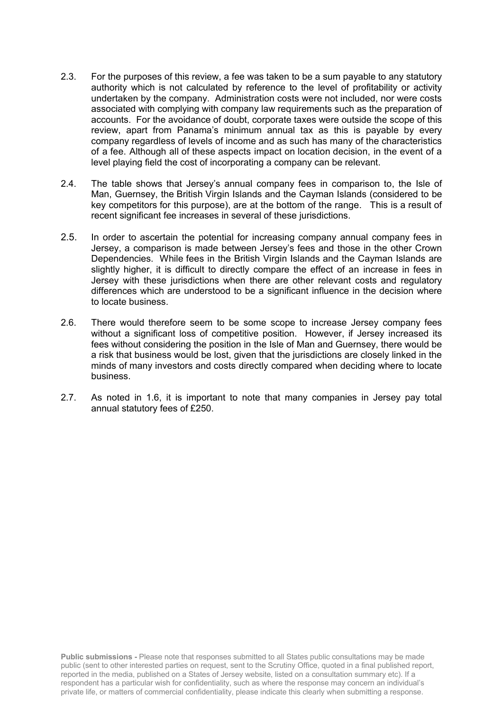- 2.3. For the purposes of this review, a fee was taken to be a sum payable to any statutory authority which is not calculated by reference to the level of profitability or activity undertaken by the company. Administration costs were not included, nor were costs associated with complying with company law requirements such as the preparation of accounts. For the avoidance of doubt, corporate taxes were outside the scope of this review, apart from Panama's minimum annual tax as this is payable by every company regardless of levels of income and as such has many of the characteristics of a fee. Although all of these aspects impact on location decision, in the event of a level playing field the cost of incorporating a company can be relevant.
- 2.4. The table shows that Jersey's annual company fees in comparison to, the Isle of Man, Guernsey, the British Virgin Islands and the Cayman Islands (considered to be key competitors for this purpose), are at the bottom of the range. This is a result of recent significant fee increases in several of these jurisdictions.
- 2.5. In order to ascertain the potential for increasing company annual company fees in Jersey, a comparison is made between Jersey's fees and those in the other Crown Dependencies. While fees in the British Virgin Islands and the Cayman Islands are slightly higher, it is difficult to directly compare the effect of an increase in fees in Jersey with these jurisdictions when there are other relevant costs and regulatory differences which are understood to be a significant influence in the decision where to locate business.
- 2.6. There would therefore seem to be some scope to increase Jersey company fees without a significant loss of competitive position. However, if Jersey increased its fees without considering the position in the Isle of Man and Guernsey, there would be a risk that business would be lost, given that the jurisdictions are closely linked in the minds of many investors and costs directly compared when deciding where to locate business.
- 2.7. As noted in 1.6, it is important to note that many companies in Jersey pay total annual statutory fees of £250.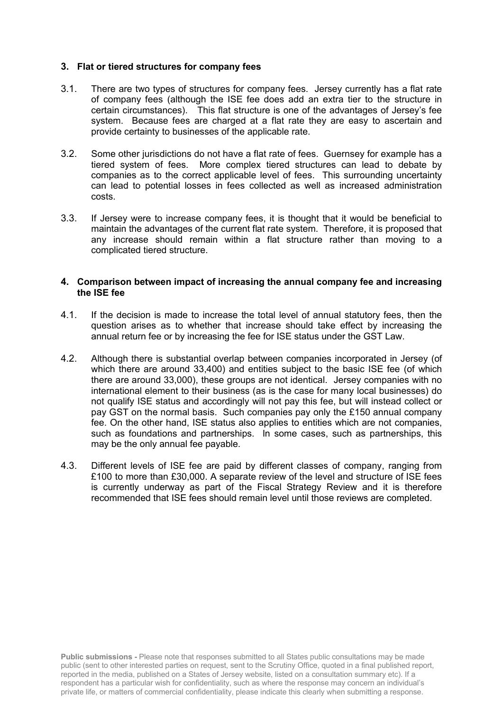#### **3. Flat or tiered structures for company fees**

- 3.1. There are two types of structures for company fees. Jersey currently has a flat rate of company fees (although the ISE fee does add an extra tier to the structure in certain circumstances). This flat structure is one of the advantages of Jersey's fee system. Because fees are charged at a flat rate they are easy to ascertain and provide certainty to businesses of the applicable rate.
- 3.2. Some other jurisdictions do not have a flat rate of fees. Guernsey for example has a tiered system of fees. More complex tiered structures can lead to debate by companies as to the correct applicable level of fees. This surrounding uncertainty can lead to potential losses in fees collected as well as increased administration costs.
- 3.3. If Jersey were to increase company fees, it is thought that it would be beneficial to maintain the advantages of the current flat rate system. Therefore, it is proposed that any increase should remain within a flat structure rather than moving to a complicated tiered structure.

#### **4. Comparison between impact of increasing the annual company fee and increasing the ISE fee**

- 4.1. If the decision is made to increase the total level of annual statutory fees, then the question arises as to whether that increase should take effect by increasing the annual return fee or by increasing the fee for ISE status under the GST Law.
- 4.2. Although there is substantial overlap between companies incorporated in Jersey (of which there are around 33,400) and entities subject to the basic ISE fee (of which there are around 33,000), these groups are not identical. Jersey companies with no international element to their business (as is the case for many local businesses) do not qualify ISE status and accordingly will not pay this fee, but will instead collect or pay GST on the normal basis. Such companies pay only the £150 annual company fee. On the other hand, ISE status also applies to entities which are not companies, such as foundations and partnerships. In some cases, such as partnerships, this may be the only annual fee payable.
- 4.3. Different levels of ISE fee are paid by different classes of company, ranging from £100 to more than £30,000. A separate review of the level and structure of ISE fees is currently underway as part of the Fiscal Strategy Review and it is therefore recommended that ISE fees should remain level until those reviews are completed.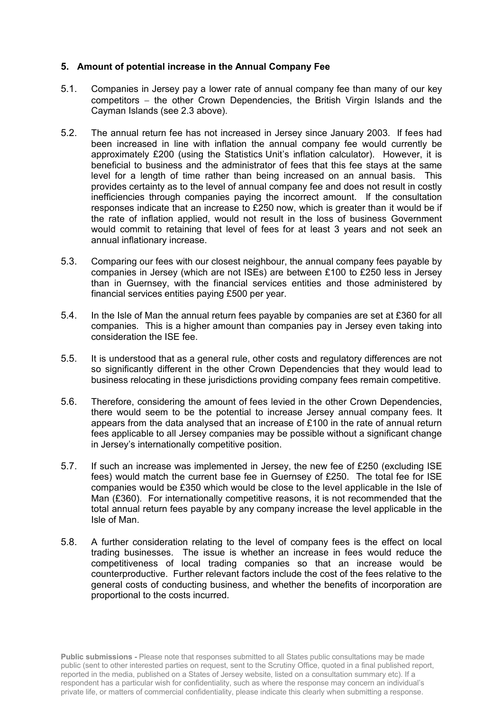#### **5. Amount of potential increase in the Annual Company Fee**

- 5.1. Companies in Jersey pay a lower rate of annual company fee than many of our key competitors - the other Crown Dependencies, the British Virgin Islands and the Cayman Islands (see 2.3 above).
- 5.2. The annual return fee has not increased in Jersey since January 2003. If fees had been increased in line with inflation the annual company fee would currently be approximately £200 (using the Statistics Unit's inflation calculator). However, it is beneficial to business and the administrator of fees that this fee stays at the same level for a length of time rather than being increased on an annual basis. This provides certainty as to the level of annual company fee and does not result in costly inefficiencies through companies paying the incorrect amount. If the consultation responses indicate that an increase to £250 now, which is greater than it would be if the rate of inflation applied, would not result in the loss of business Government would commit to retaining that level of fees for at least 3 years and not seek an annual inflationary increase.
- 5.3. Comparing our fees with our closest neighbour, the annual company fees payable by companies in Jersey (which are not ISEs) are between £100 to £250 less in Jersey than in Guernsey, with the financial services entities and those administered by financial services entities paying £500 per year.
- 5.4. In the Isle of Man the annual return fees payable by companies are set at £360 for all companies. This is a higher amount than companies pay in Jersey even taking into consideration the ISE fee.
- 5.5. It is understood that as a general rule, other costs and regulatory differences are not so significantly different in the other Crown Dependencies that they would lead to business relocating in these jurisdictions providing company fees remain competitive.
- 5.6. Therefore, considering the amount of fees levied in the other Crown Dependencies, there would seem to be the potential to increase Jersey annual company fees. It appears from the data analysed that an increase of £100 in the rate of annual return fees applicable to all Jersey companies may be possible without a significant change in Jersey's internationally competitive position.
- 5.7. If such an increase was implemented in Jersey, the new fee of £250 (excluding ISE fees) would match the current base fee in Guernsey of £250. The total fee for ISE companies would be £350 which would be close to the level applicable in the Isle of Man (£360). For internationally competitive reasons, it is not recommended that the total annual return fees payable by any company increase the level applicable in the Isle of Man.
- 5.8. A further consideration relating to the level of company fees is the effect on local trading businesses. The issue is whether an increase in fees would reduce the competitiveness of local trading companies so that an increase would be counterproductive. Further relevant factors include the cost of the fees relative to the general costs of conducting business, and whether the benefits of incorporation are proportional to the costs incurred.

**Public submissions -** Please note that responses submitted to all States public consultations may be made public (sent to other interested parties on request, sent to the Scrutiny Office, quoted in a final published report, reported in the media, published on a States of Jersey website, listed on a consultation summary etc). If a respondent has a particular wish for confidentiality, such as where the response may concern an individual's private life, or matters of commercial confidentiality, please indicate this clearly when submitting a response.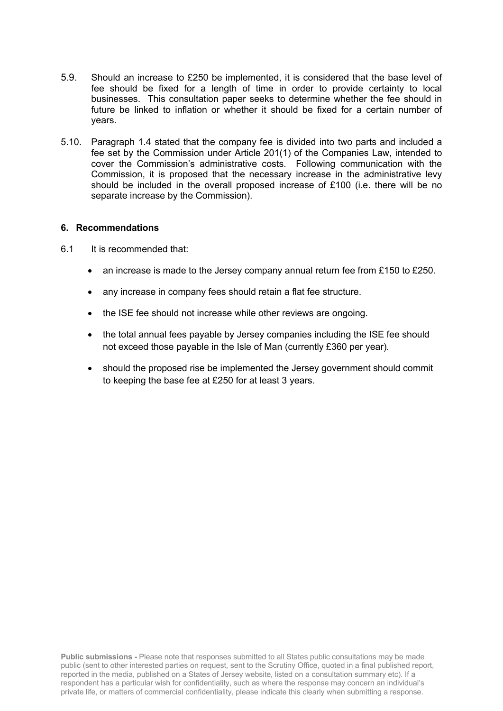- 5.9. Should an increase to £250 be implemented, it is considered that the base level of fee should be fixed for a length of time in order to provide certainty to local businesses. This consultation paper seeks to determine whether the fee should in future be linked to inflation or whether it should be fixed for a certain number of years.
- 5.10. Paragraph 1.4 stated that the company fee is divided into two parts and included a fee set by the Commission under Article 201(1) of the Companies Law, intended to cover the Commission's administrative costs. Following communication with the Commission, it is proposed that the necessary increase in the administrative levy should be included in the overall proposed increase of  $£100$  (i.e. there will be no separate increase by the Commission).

#### **6. Recommendations**

- 6.1 It is recommended that:
	- an increase is made to the Jersey company annual return fee from £150 to £250.
	- any increase in company fees should retain a flat fee structure.
	- the ISE fee should not increase while other reviews are ongoing.
	- the total annual fees payable by Jersey companies including the ISE fee should not exceed those payable in the Isle of Man (currently £360 per year).
	- should the proposed rise be implemented the Jersey government should commit to keeping the base fee at £250 for at least 3 years.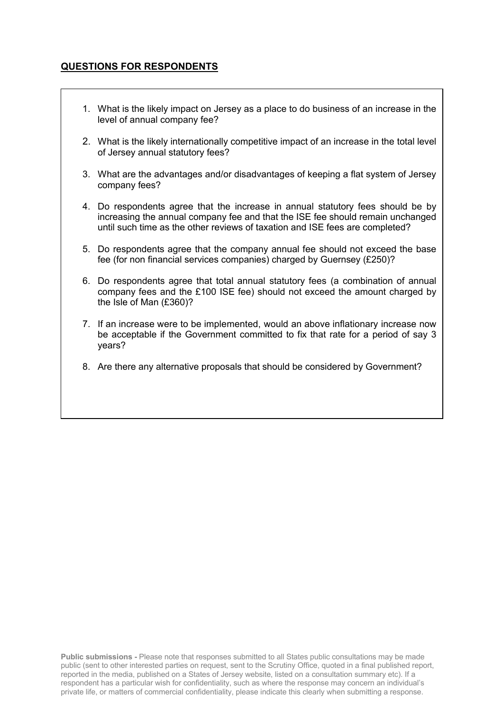#### **QUESTIONS FOR RESPONDENTS**

- 1. What is the likely impact on Jersey as a place to do business of an increase in the level of annual company fee?
- 2. What is the likely internationally competitive impact of an increase in the total level of Jersey annual statutory fees?
- 3. What are the advantages and/or disadvantages of keeping a flat system of Jersey company fees?
- 4. Do respondents agree that the increase in annual statutory fees should be by increasing the annual company fee and that the ISE fee should remain unchanged until such time as the other reviews of taxation and ISE fees are completed?
- 5. Do respondents agree that the company annual fee should not exceed the base fee (for non financial services companies) charged by Guernsey (£250)?
- 6. Do respondents agree that total annual statutory fees (a combination of annual company fees and the £100 ISE fee) should not exceed the amount charged by the Isle of Man (£360)?
- 7. If an increase were to be implemented, would an above inflationary increase now be acceptable if the Government committed to fix that rate for a period of say 3 years?
- 8. Are there any alternative proposals that should be considered by Government?